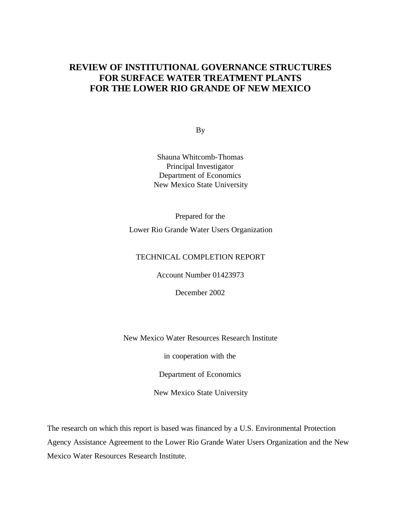# **REVIEW OF INSTITUTIONAL GOVERNANCE STRUCTURES FOR SURFACE WATER TREATMENT PLANTS FOR THE LOWER RIO GRANDE OF NEW MEXICO**

By

Shauna Whitcomb-Thomas Principal Investigator Department of Economics New Mexico State University

Prepared for the

Lower Rio Grande Water Users Organization

## TECHNICAL COMPLETION REPORT

Account Number 01423973

December 2002

New Mexico Water Resources Research Institute

in cooperation with the

Department of Economics

New Mexico State University

The research on which this report is based was financed by a U.S. Environmental Protection Agency Assistance Agreement to the Lower Rio Grande Water Users Organization and the New Mexico Water Resources Research Institute.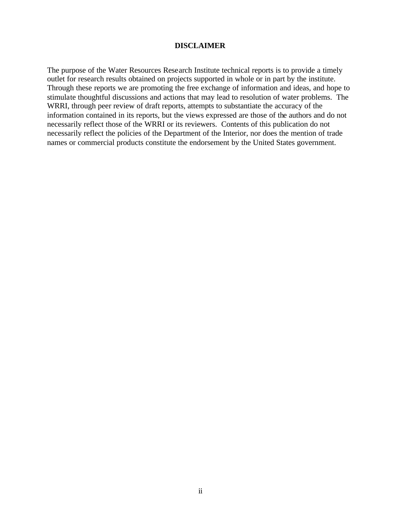## **DISCLAIMER**

The purpose of the Water Resources Research Institute technical reports is to provide a timely outlet for research results obtained on projects supported in whole or in part by the institute. Through these reports we are promoting the free exchange of information and ideas, and hope to stimulate thoughtful discussions and actions that may lead to resolution of water problems. The WRRI, through peer review of draft reports, attempts to substantiate the accuracy of the information contained in its reports, but the views expressed are those of the authors and do not necessarily reflect those of the WRRI or its reviewers. Contents of this publication do not necessarily reflect the policies of the Department of the Interior, nor does the mention of trade names or commercial products constitute the endorsement by the United States government.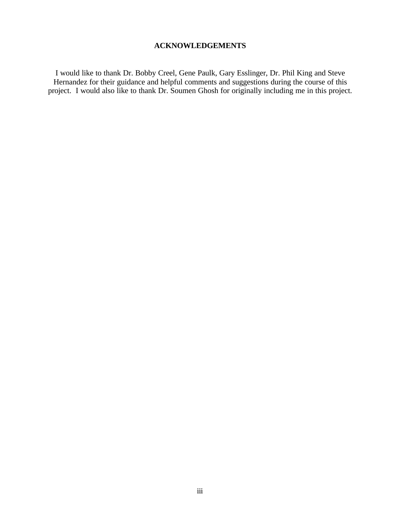# **ACKNOWLEDGEMENTS**

I would like to thank Dr. Bobby Creel, Gene Paulk, Gary Esslinger, Dr. Phil King and Steve Hernandez for their guidance and helpful comments and suggestions during the course of this project. I would also like to thank Dr. Soumen Ghosh for originally including me in this project.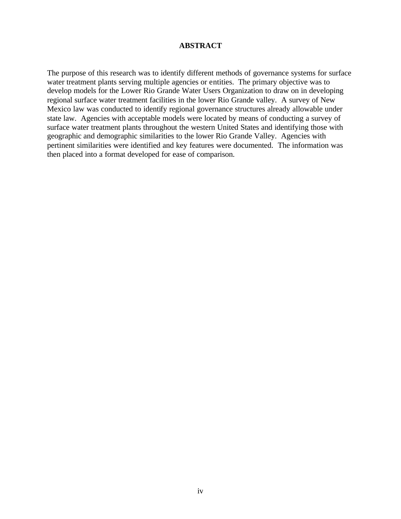## **ABSTRACT**

The purpose of this research was to identify different methods of governance systems for surface water treatment plants serving multiple agencies or entities. The primary objective was to develop models for the Lower Rio Grande Water Users Organization to draw on in developing regional surface water treatment facilities in the lower Rio Grande valley. A survey of New Mexico law was conducted to identify regional governance structures already allowable under state law. Agencies with acceptable models were located by means of conducting a survey of surface water treatment plants throughout the western United States and identifying those with geographic and demographic similarities to the lower Rio Grande Valley. Agencies with pertinent similarities were identified and key features were documented. The information was then placed into a format developed for ease of comparison.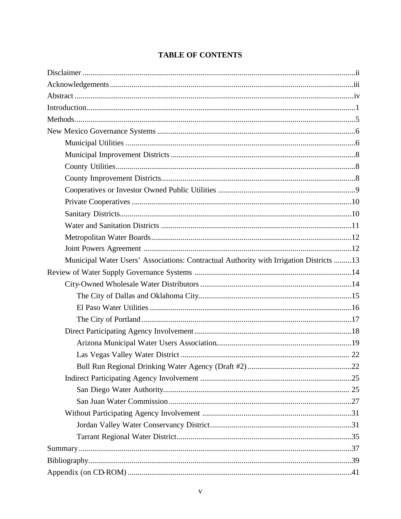| <b>TABLE OF CONTENTS</b> |  |  |  |
|--------------------------|--|--|--|
|--------------------------|--|--|--|

| Municipal Water Users' Associations: Contractual Authority with Irrigation Districts 13 |  |
|-----------------------------------------------------------------------------------------|--|
|                                                                                         |  |
|                                                                                         |  |
|                                                                                         |  |
|                                                                                         |  |
|                                                                                         |  |
|                                                                                         |  |
|                                                                                         |  |
|                                                                                         |  |
|                                                                                         |  |
|                                                                                         |  |
|                                                                                         |  |
|                                                                                         |  |
|                                                                                         |  |
|                                                                                         |  |
|                                                                                         |  |
|                                                                                         |  |
|                                                                                         |  |
|                                                                                         |  |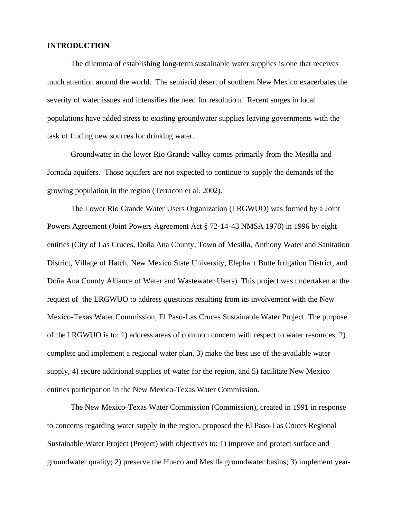### **INTRODUCTION**

The dilemma of establishing long-term sustainable water supplies is one that receives much attention around the world. The semiarid desert of southern New Mexico exacerbates the severity of water issues and intensifies the need for resolution. Recent surges in local populations have added stress to existing groundwater supplies leaving governments with the task of finding new sources for drinking water.

Groundwater in the lower Rio Grande valley comes primarily from the Mesilla and Jornada aquifers. Those aquifers are not expected to continue to supply the demands of the growing population in the region (Terracon et al. 2002).

The Lower Rio Grande Water Users Organization (LRGWUO) was formed by a Joint Powers Agreement (Joint Powers Agreement Act § 72-14-43 NMSA 1978) in 1996 by eight entities (City of Las Cruces, Doña Ana County, Town of Mesilla, Anthony Water and Sanitation District, Village of Hatch, New Mexico State University, Elephant Butte Irrigation District, and Doña Ana County Alliance of Water and Wastewater Users). This project was undertaken at the request of the LRGWUO to address questions resulting from its involvement with the New Mexico-Texas Water Commission, El Paso-Las Cruces Sustainable Water Project. The purpose of the LRGWUO is to: 1) address areas of common concern with respect to water resources, 2) complete and implement a regional water plan, 3) make the best use of the available water supply, 4) secure additional supplies of water for the region, and 5) facilitate New Mexico entities participation in the New Mexico-Texas Water Commission.

The New Mexico-Texas Water Commission (Commission), created in 1991 in response to concerns regarding water supply in the region, proposed the El Paso-Las Cruces Regional Sustainable Water Project (Project) with objectives to: 1) improve and protect surface and groundwater quality; 2) preserve the Hueco and Mesilla groundwater basins; 3) implement year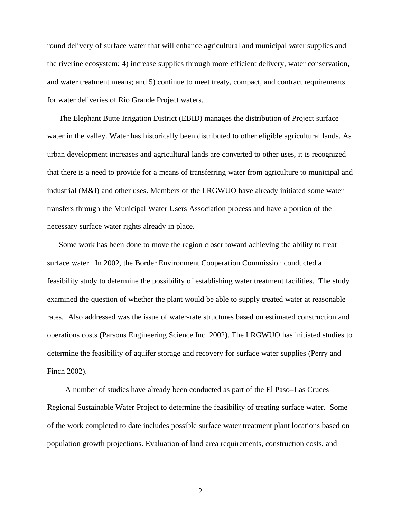round delivery of surface water that will enhance agricultural and municipal water supplies and the riverine ecosystem; 4) increase supplies through more efficient delivery, water conservation, and water treatment means; and 5) continue to meet treaty, compact, and contract requirements for water deliveries of Rio Grande Project waters.

The Elephant Butte Irrigation District (EBID) manages the distribution of Project surface water in the valley. Water has historically been distributed to other eligible agricultural lands. As urban development increases and agricultural lands are converted to other uses, it is recognized that there is a need to provide for a means of transferring water from agriculture to municipal and industrial (M&I) and other uses. Members of the LRGWUO have already initiated some water transfers through the Municipal Water Users Association process and have a portion of the necessary surface water rights already in place.

Some work has been done to move the region closer toward achieving the ability to treat surface water. In 2002, the Border Environment Cooperation Commission conducted a feasibility study to determine the possibility of establishing water treatment facilities. The study examined the question of whether the plant would be able to supply treated water at reasonable rates. Also addressed was the issue of water-rate structures based on estimated construction and operations costs (Parsons Engineering Science Inc. 2002). The LRGWUO has initiated studies to determine the feasibility of aquifer storage and recovery for surface water supplies (Perry and Finch 2002).

 A number of studies have already been conducted as part of the El Paso–Las Cruces Regional Sustainable Water Project to determine the feasibility of treating surface water. Some of the work completed to date includes possible surface water treatment plant locations based on population growth projections. Evaluation of land area requirements, construction costs, and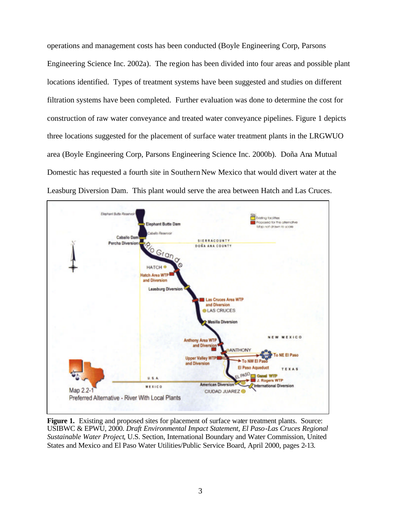operations and management costs has been conducted (Boyle Engineering Corp, Parsons Engineering Science Inc. 2002a). The region has been divided into four areas and possible plant locations identified. Types of treatment systems have been suggested and studies on different filtration systems have been completed. Further evaluation was done to determine the cost for construction of raw water conveyance and treated water conveyance pipelines. Figure 1 depicts three locations suggested for the placement of surface water treatment plants in the LRGWUO area (Boyle Engineering Corp, Parsons Engineering Science Inc. 2000b). Doña Ana Mutual Domestic has requested a fourth site in Southern New Mexico that would divert water at the Leasburg Diversion Dam. This plant would serve the area between Hatch and Las Cruces.



**Figure 1.** Existing and proposed sites for placement of surface water treatment plants. Source: USIBWC & EPWU, 2000. *Draft Environmental Impact Statement, El Paso-Las Cruces Regional Sustainable Water Project*, U.S. Section, International Boundary and Water Commission, United States and Mexico and El Paso Water Utilities/Public Service Board, April 2000, pages 2-13.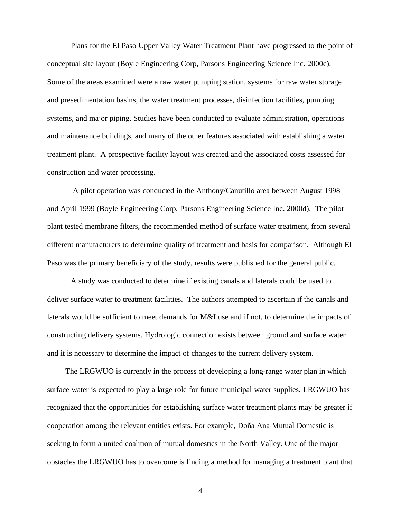Plans for the El Paso Upper Valley Water Treatment Plant have progressed to the point of conceptual site layout (Boyle Engineering Corp, Parsons Engineering Science Inc. 2000c). Some of the areas examined were a raw water pumping station, systems for raw water storage and presedimentation basins, the water treatment processes, disinfection facilities, pumping systems, and major piping. Studies have been conducted to evaluate administration, operations and maintenance buildings, and many of the other features associated with establishing a water treatment plant. A prospective facility layout was created and the associated costs assessed for construction and water processing.

 A pilot operation was conducted in the Anthony/Canutillo area between August 1998 and April 1999 (Boyle Engineering Corp, Parsons Engineering Science Inc. 2000d). The pilot plant tested membrane filters, the recommended method of surface water treatment, from several different manufacturers to determine quality of treatment and basis for comparison. Although El Paso was the primary beneficiary of the study, results were published for the general public.

A study was conducted to determine if existing canals and laterals could be used to deliver surface water to treatment facilities. The authors attempted to ascertain if the canals and laterals would be sufficient to meet demands for M&I use and if not, to determine the impacts of constructing delivery systems. Hydrologic connection exists between ground and surface water and it is necessary to determine the impact of changes to the current delivery system.

 The LRGWUO is currently in the process of developing a long-range water plan in which surface water is expected to play a large role for future municipal water supplies. LRGWUO has recognized that the opportunities for establishing surface water treatment plants may be greater if cooperation among the relevant entities exists. For example, Doña Ana Mutual Domestic is seeking to form a united coalition of mutual domestics in the North Valley. One of the major obstacles the LRGWUO has to overcome is finding a method for managing a treatment plant that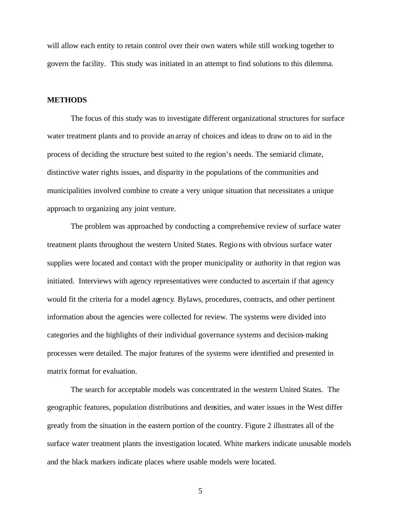will allow each entity to retain control over their own waters while still working together to govern the facility. This study was initiated in an attempt to find solutions to this dilemma.

### **METHODS**

The focus of this study was to investigate different organizational structures for surface water treatment plants and to provide an array of choices and ideas to draw on to aid in the process of deciding the structure best suited to the region's needs. The semiarid climate, distinctive water rights issues, and disparity in the populations of the communities and municipalities involved combine to create a very unique situation that necessitates a unique approach to organizing any joint venture.

The problem was approached by conducting a comprehensive review of surface water treatment plants throughout the western United States. Regions with obvious surface water supplies were located and contact with the proper municipality or authority in that region was initiated. Interviews with agency representatives were conducted to ascertain if that agency would fit the criteria for a model agency*.* Bylaws, procedures, contracts, and other pertinent information about the agencies were collected for review. The systems were divided into categories and the highlights of their individual governance systems and decision-making processes were detailed. The major features of the systems were identified and presented in matrix format for evaluation.

The search for acceptable models was concentrated in the western United States. The geographic features, population distributions and densities, and water issues in the West differ greatly from the situation in the eastern portion of the country. Figure 2 illustrates all of the surface water treatment plants the investigation located. White markers indicate unusable models and the black markers indicate places where usable models were located.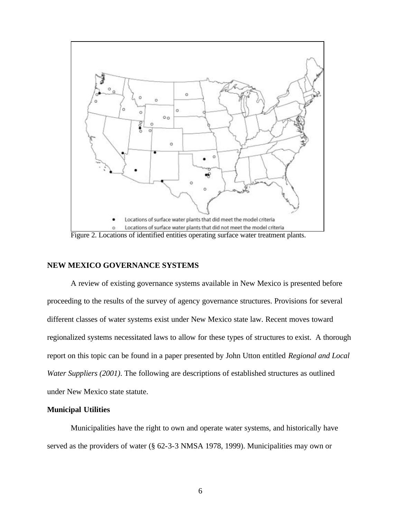

Figure 2. Locations of identified entities operating surface water treatment plants.

## **NEW MEXICO GOVERNANCE SYSTEMS**

A review of existing governance systems available in New Mexico is presented before proceeding to the results of the survey of agency governance structures. Provisions for several different classes of water systems exist under New Mexico state law. Recent moves toward regionalized systems necessitated laws to allow for these types of structures to exist. A thorough report on this topic can be found in a paper presented by John Utton entitled *Regional and Local Water Suppliers (2001)*. The following are descriptions of established structures as outlined under New Mexico state statute.

## **Municipal Utilities**

Municipalities have the right to own and operate water systems, and historically have served as the providers of water (§ 62-3-3 NMSA 1978, 1999). Municipalities may own or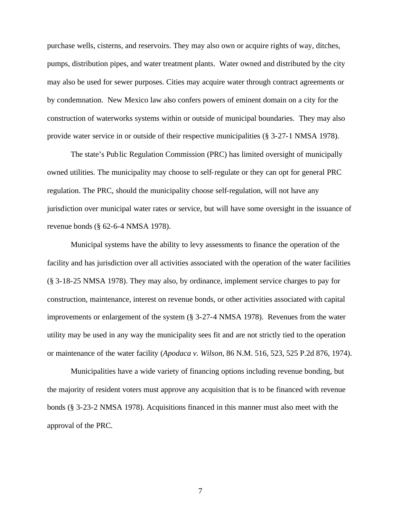purchase wells, cisterns, and reservoirs. They may also own or acquire rights of way, ditches, pumps, distribution pipes, and water treatment plants. Water owned and distributed by the city may also be used for sewer purposes. Cities may acquire water through contract agreements or by condemnation. New Mexico law also confers powers of eminent domain on a city for the construction of waterworks systems within or outside of municipal boundaries. They may also provide water service in or outside of their respective municipalities (§ 3-27-1 NMSA 1978).

The state's Public Regulation Commission (PRC) has limited oversight of municipally owned utilities. The municipality may choose to self-regulate or they can opt for general PRC regulation. The PRC, should the municipality choose self-regulation, will not have any jurisdiction over municipal water rates or service, but will have some oversight in the issuance of revenue bonds (§ 62-6-4 NMSA 1978).

Municipal systems have the ability to levy assessments to finance the operation of the facility and has jurisdiction over all activities associated with the operation of the water facilities (§ 3-18-25 NMSA 1978). They may also, by ordinance, implement service charges to pay for construction, maintenance, interest on revenue bonds, or other activities associated with capital improvements or enlargement of the system (§ 3-27-4 NMSA 1978). Revenues from the water utility may be used in any way the municipality sees fit and are not strictly tied to the operation or maintenance of the water facility (*Apodaca v. Wilson*, 86 N.M. 516, 523, 525 P.2d 876, 1974).

Municipalities have a wide variety of financing options including revenue bonding, but the majority of resident voters must approve any acquisition that is to be financed with revenue bonds (§ 3-23-2 NMSA 1978). Acquisitions financed in this manner must also meet with the approval of the PRC.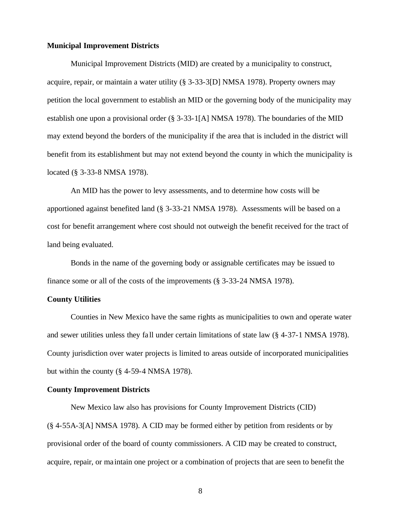### **Municipal Improvement Districts**

Municipal Improvement Districts (MID) are created by a municipality to construct, acquire, repair, or maintain a water utility (§ 3-33-3[D] NMSA 1978). Property owners may petition the local government to establish an MID or the governing body of the municipality may establish one upon a provisional order (§ 3-33-1[A] NMSA 1978). The boundaries of the MID may extend beyond the borders of the municipality if the area that is included in the district will benefit from its establishment but may not extend beyond the county in which the municipality is located (§ 3-33-8 NMSA 1978).

An MID has the power to levy assessments, and to determine how costs will be apportioned against benefited land (§ 3-33-21 NMSA 1978). Assessments will be based on a cost for benefit arrangement where cost should not outweigh the benefit received for the tract of land being evaluated.

Bonds in the name of the governing body or assignable certificates may be issued to finance some or all of the costs of the improvements (§ 3-33-24 NMSA 1978).

## **County Utilities**

Counties in New Mexico have the same rights as municipalities to own and operate water and sewer utilities unless they fa ll under certain limitations of state law (§ 4-37-1 NMSA 1978). County jurisdiction over water projects is limited to areas outside of incorporated municipalities but within the county (§ 4-59-4 NMSA 1978).

## **County Improvement Districts**

New Mexico law also has provisions for County Improvement Districts (CID) (§ 4-55A-3[A] NMSA 1978). A CID may be formed either by petition from residents or by provisional order of the board of county commissioners. A CID may be created to construct, acquire, repair, or ma intain one project or a combination of projects that are seen to benefit the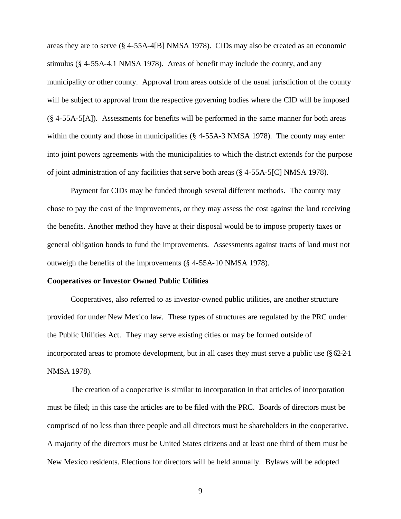areas they are to serve (§ 4-55A-4[B] NMSA 1978). CIDs may also be created as an economic stimulus (§ 4-55A-4.1 NMSA 1978). Areas of benefit may include the county, and any municipality or other county. Approval from areas outside of the usual jurisdiction of the county will be subject to approval from the respective governing bodies where the CID will be imposed (§ 4-55A-5[A]). Assessments for benefits will be performed in the same manner for both areas within the county and those in municipalities (§ 4-55A-3 NMSA 1978). The county may enter into joint powers agreements with the municipalities to which the district extends for the purpose of joint administration of any facilities that serve both areas (§ 4-55A-5[C] NMSA 1978).

Payment for CIDs may be funded through several different methods. The county may chose to pay the cost of the improvements, or they may assess the cost against the land receiving the benefits. Another method they have at their disposal would be to impose property taxes or general obligation bonds to fund the improvements. Assessments against tracts of land must not outweigh the benefits of the improvements (§ 4-55A-10 NMSA 1978).

## **Cooperatives or Investor Owned Public Utilities**

Cooperatives, also referred to as investor-owned public utilities, are another structure provided for under New Mexico law. These types of structures are regulated by the PRC under the Public Utilities Act. They may serve existing cities or may be formed outside of incorporated areas to promote development, but in all cases they must serve a public use (§ 62-2-1 NMSA 1978).

The creation of a cooperative is similar to incorporation in that articles of incorporation must be filed; in this case the articles are to be filed with the PRC. Boards of directors must be comprised of no less than three people and all directors must be shareholders in the cooperative. A majority of the directors must be United States citizens and at least one third of them must be New Mexico residents. Elections for directors will be held annually. Bylaws will be adopted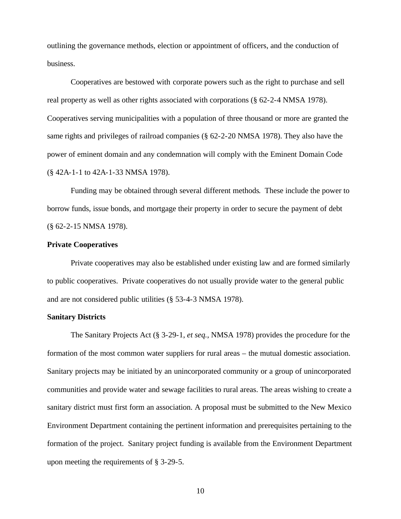outlining the governance methods, election or appointment of officers, and the conduction of business.

Cooperatives are bestowed with corporate powers such as the right to purchase and sell real property as well as other rights associated with corporations (§ 62-2-4 NMSA 1978). Cooperatives serving municipalities with a population of three thousand or more are granted the same rights and privileges of railroad companies (§ 62-2-20 NMSA 1978). They also have the power of eminent domain and any condemnation will comply with the Eminent Domain Code (§ 42A-1-1 to 42A-1-33 NMSA 1978).

Funding may be obtained through several different methods. These include the power to borrow funds, issue bonds, and mortgage their property in order to secure the payment of debt (§ 62-2-15 NMSA 1978).

## **Private Cooperatives**

Private cooperatives may also be established under existing law and are formed similarly to public cooperatives. Private cooperatives do not usually provide water to the general public and are not considered public utilities (§ 53-4-3 NMSA 1978).

## **Sanitary Districts**

The Sanitary Projects Act (§ 3-29-1, *et seq.*, NMSA 1978) provides the procedure for the formation of the most common water suppliers for rural areas – the mutual domestic association. Sanitary projects may be initiated by an unincorporated community or a group of unincorporated communities and provide water and sewage facilities to rural areas. The areas wishing to create a sanitary district must first form an association. A proposal must be submitted to the New Mexico Environment Department containing the pertinent information and prerequisites pertaining to the formation of the project. Sanitary project funding is available from the Environment Department upon meeting the requirements of § 3-29-5.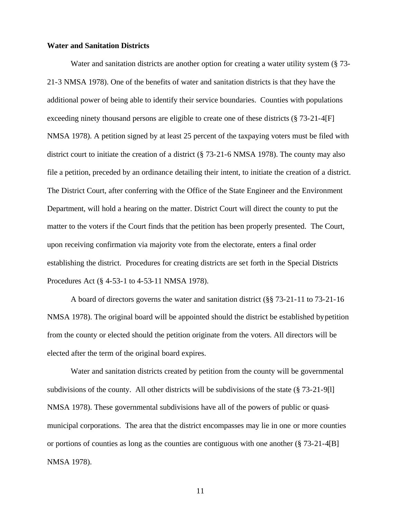### **Water and Sanitation Districts**

Water and sanitation districts are another option for creating a water utility system (§ 73- 21-3 NMSA 1978). One of the benefits of water and sanitation districts is that they have the additional power of being able to identify their service boundaries. Counties with populations exceeding ninety thousand persons are eligible to create one of these districts (§ 73-21-4[F] NMSA 1978). A petition signed by at least 25 percent of the taxpaying voters must be filed with district court to initiate the creation of a district (§ 73-21-6 NMSA 1978). The county may also file a petition, preceded by an ordinance detailing their intent, to initiate the creation of a district. The District Court, after conferring with the Office of the State Engineer and the Environment Department, will hold a hearing on the matter. District Court will direct the county to put the matter to the voters if the Court finds that the petition has been properly presented. The Court, upon receiving confirmation via majority vote from the electorate, enters a final order establishing the district. Procedures for creating districts are set forth in the Special Districts Procedures Act (§ 4-53-1 to 4-53-11 NMSA 1978).

A board of directors governs the water and sanitation district (§§ 73-21-11 to 73-21-16 NMSA 1978). The original board will be appointed should the district be established by petition from the county or elected should the petition originate from the voters. All directors will be elected after the term of the original board expires.

Water and sanitation districts created by petition from the county will be governmental subdivisions of the county. All other districts will be subdivisions of the state (§ 73-21-9[l] NMSA 1978). These governmental subdivisions have all of the powers of public or quasimunicipal corporations. The area that the district encompasses may lie in one or more counties or portions of counties as long as the counties are contiguous with one another (§ 73-21-4[B] NMSA 1978).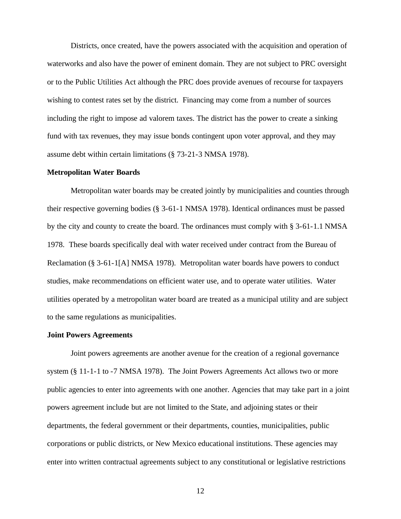Districts, once created, have the powers associated with the acquisition and operation of waterworks and also have the power of eminent domain. They are not subject to PRC oversight or to the Public Utilities Act although the PRC does provide avenues of recourse for taxpayers wishing to contest rates set by the district. Financing may come from a number of sources including the right to impose ad valorem taxes. The district has the power to create a sinking fund with tax revenues, they may issue bonds contingent upon voter approval, and they may assume debt within certain limitations (§ 73-21-3 NMSA 1978).

### **Metropolitan Water Boards**

Metropolitan water boards may be created jointly by municipalities and counties through their respective governing bodies (§ 3-61-1 NMSA 1978). Identical ordinances must be passed by the city and county to create the board. The ordinances must comply with § 3-61-1.1 NMSA 1978. These boards specifically deal with water received under contract from the Bureau of Reclamation (§ 3-61-1[A] NMSA 1978). Metropolitan water boards have powers to conduct studies, make recommendations on efficient water use, and to operate water utilities. Water utilities operated by a metropolitan water board are treated as a municipal utility and are subject to the same regulations as municipalities.

### **Joint Powers Agreements**

Joint powers agreements are another avenue for the creation of a regional governance system (§ 11-1-1 to -7 NMSA 1978). The Joint Powers Agreements Act allows two or more public agencies to enter into agreements with one another. Agencies that may take part in a joint powers agreement include but are not limited to the State, and adjoining states or their departments, the federal government or their departments, counties, municipalities, public corporations or public districts, or New Mexico educational institutions. These agencies may enter into written contractual agreements subject to any constitutional or legislative restrictions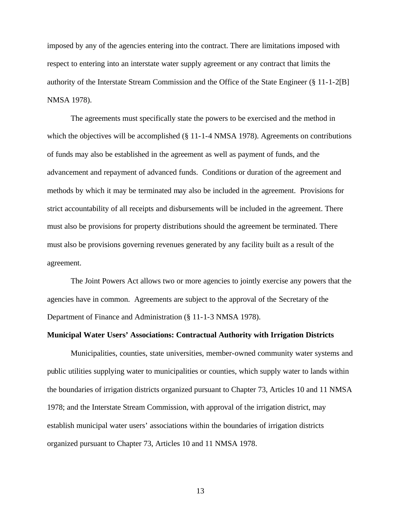imposed by any of the agencies entering into the contract. There are limitations imposed with respect to entering into an interstate water supply agreement or any contract that limits the authority of the Interstate Stream Commission and the Office of the State Engineer (§ 11-1-2[B] NMSA 1978).

The agreements must specifically state the powers to be exercised and the method in which the objectives will be accomplished  $(\S 11$ -1-4 NMSA 1978). Agreements on contributions of funds may also be established in the agreement as well as payment of funds, and the advancement and repayment of advanced funds. Conditions or duration of the agreement and methods by which it may be terminated may also be included in the agreement. Provisions for strict accountability of all receipts and disbursements will be included in the agreement. There must also be provisions for property distributions should the agreement be terminated. There must also be provisions governing revenues generated by any facility built as a result of the agreement.

The Joint Powers Act allows two or more agencies to jointly exercise any powers that the agencies have in common. Agreements are subject to the approval of the Secretary of the Department of Finance and Administration (§ 11-1-3 NMSA 1978).

## **Municipal Water Users' Associations: Contractual Authority with Irrigation Districts**

Municipalities, counties, state universities, member-owned community water systems and public utilities supplying water to municipalities or counties, which supply water to lands within the boundaries of irrigation districts organized pursuant to Chapter 73, Articles 10 and 11 NMSA 1978; and the Interstate Stream Commission, with approval of the irrigation district, may establish municipal water users' associations within the boundaries of irrigation districts organized pursuant to Chapter 73, Articles 10 and 11 NMSA 1978.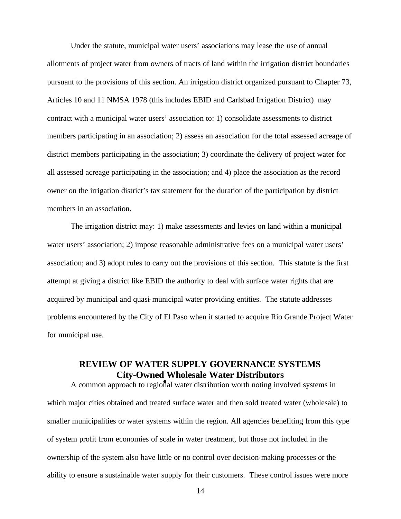Under the statute, municipal water users' associations may lease the use of annual allotments of project water from owners of tracts of land within the irrigation district boundaries pursuant to the provisions of this section. An irrigation district organized pursuant to Chapter 73, Articles 10 and 11 NMSA 1978 (this includes EBID and Carlsbad Irrigation District) may contract with a municipal water users' association to: 1) consolidate assessments to district members participating in an association; 2) assess an association for the total assessed acreage of district members participating in the association; 3) coordinate the delivery of project water for all assessed acreage participating in the association; and 4) place the association as the record owner on the irrigation district's tax statement for the duration of the participation by district members in an association.

The irrigation district may: 1) make assessments and levies on land within a municipal water users' association; 2) impose reasonable administrative fees on a municipal water users' association; and 3) adopt rules to carry out the provisions of this section. This statute is the first attempt at giving a district like EBID the authority to deal with surface water rights that are acquired by municipal and quasi-municipal water providing entities. The statute addresses problems encountered by the City of El Paso when it started to acquire Rio Grande Project Water for municipal use.

# **REVIEW OF WATER SUPPLY GOVERNANCE SYSTEMS City-Owned Wholesale Water Distributors**

A common approach to regional water distribution worth noting involved systems in which major cities obtained and treated surface water and then sold treated water (wholesale) to smaller municipalities or water systems within the region. All agencies benefiting from this type of system profit from economies of scale in water treatment, but those not included in the ownership of the system also have little or no control over decision-making processes or the ability to ensure a sustainable water supply for their customers. These control issues were more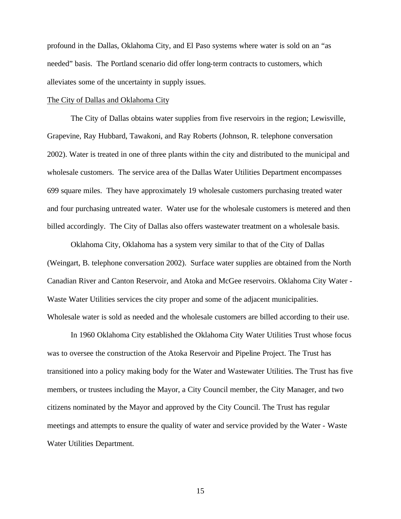profound in the Dallas, Oklahoma City, and El Paso systems where water is sold on an "as needed" basis. The Portland scenario did offer long-term contracts to customers, which alleviates some of the uncertainty in supply issues.

#### The City of Dallas and Oklahoma City

The City of Dallas obtains water supplies from five reservoirs in the region; Lewisville, Grapevine, Ray Hubbard, Tawakoni, and Ray Roberts (Johnson, R. telephone conversation 2002). Water is treated in one of three plants within the city and distributed to the municipal and wholesale customers. The service area of the Dallas Water Utilities Department encompasses 699 square miles. They have approximately 19 wholesale customers purchasing treated water and four purchasing untreated water. Water use for the wholesale customers is metered and then billed accordingly. The City of Dallas also offers wastewater treatment on a wholesale basis.

Oklahoma City, Oklahoma has a system very similar to that of the City of Dallas (Weingart, B. telephone conversation 2002). Surface water supplies are obtained from the North Canadian River and Canton Reservoir, and Atoka and McGee reservoirs. Oklahoma City Water - Waste Water Utilities services the city proper and some of the adjacent municipalities. Wholesale water is sold as needed and the wholesale customers are billed according to their use.

In 1960 Oklahoma City established the Oklahoma City Water Utilities Trust whose focus was to oversee the construction of the Atoka Reservoir and Pipeline Project. The Trust has transitioned into a policy making body for the Water and Wastewater Utilities. The Trust has five members, or trustees including the Mayor, a City Council member, the City Manager, and two citizens nominated by the Mayor and approved by the City Council. The Trust has regular meetings and attempts to ensure the quality of water and service provided by the Water - Waste Water Utilities Department.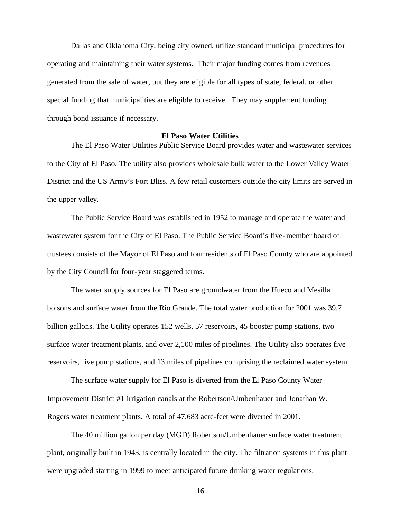Dallas and Oklahoma City, being city owned, utilize standard municipal procedures for operating and maintaining their water systems. Their major funding comes from revenues generated from the sale of water, but they are eligible for all types of state, federal, or other special funding that municipalities are eligible to receive. They may supplement funding through bond issuance if necessary.

#### **El Paso Water Utilities**

The El Paso Water Utilities Public Service Board provides water and wastewater services to the City of El Paso. The utility also provides wholesale bulk water to the Lower Valley Water District and the US Army's Fort Bliss. A few retail customers outside the city limits are served in the upper valley.

The Public Service Board was established in 1952 to manage and operate the water and wastewater system for the City of El Paso. The Public Service Board's five-member board of trustees consists of the Mayor of El Paso and four residents of El Paso County who are appointed by the City Council for four-year staggered terms.

The water supply sources for El Paso are groundwater from the Hueco and Mesilla bolsons and surface water from the Rio Grande. The total water production for 2001 was 39.7 billion gallons. The Utility operates 152 wells, 57 reservoirs, 45 booster pump stations, two surface water treatment plants, and over 2,100 miles of pipelines. The Utility also operates five reservoirs, five pump stations, and 13 miles of pipelines comprising the reclaimed water system.

The surface water supply for El Paso is diverted from the El Paso County Water Improvement District #1 irrigation canals at the Robertson/Umbenhauer and Jonathan W. Rogers water treatment plants. A total of 47,683 acre-feet were diverted in 2001.

The 40 million gallon per day (MGD) Robertson/Umbenhauer surface water treatment plant, originally built in 1943, is centrally located in the city. The filtration systems in this plant were upgraded starting in 1999 to meet anticipated future drinking water regulations.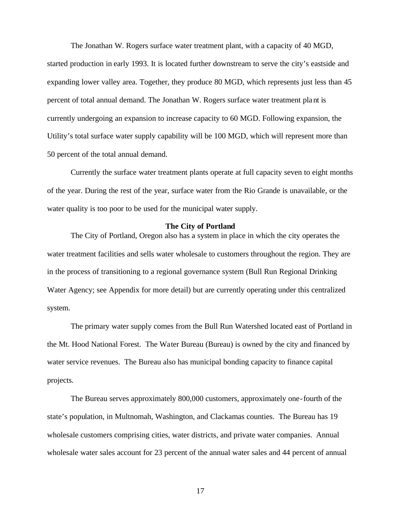The Jonathan W. Rogers surface water treatment plant, with a capacity of 40 MGD, started production in early 1993. It is located further downstream to serve the city's eastside and expanding lower valley area. Together, they produce 80 MGD, which represents just less than 45 percent of total annual demand. The Jonathan W. Rogers surface water treatment plant is currently undergoing an expansion to increase capacity to 60 MGD. Following expansion, the Utility's total surface water supply capability will be 100 MGD, which will represent more than 50 percent of the total annual demand.

Currently the surface water treatment plants operate at full capacity seven to eight months of the year. During the rest of the year, surface water from the Rio Grande is unavailable, or the water quality is too poor to be used for the municipal water supply.

### **The City of Portland**

The City of Portland, Oregon also has a system in place in which the city operates the water treatment facilities and sells water wholesale to customers throughout the region. They are in the process of transitioning to a regional governance system (Bull Run Regional Drinking Water Agency; see Appendix for more detail) but are currently operating under this centralized system.

The primary water supply comes from the Bull Run Watershed located east of Portland in the Mt. Hood National Forest. The Water Bureau (Bureau) is owned by the city and financed by water service revenues. The Bureau also has municipal bonding capacity to finance capital projects.

The Bureau serves approximately 800,000 customers, approximately one-fourth of the state's population, in Multnomah, Washington, and Clackamas counties. The Bureau has 19 wholesale customers comprising cities, water districts, and private water companies. Annual wholesale water sales account for 23 percent of the annual water sales and 44 percent of annual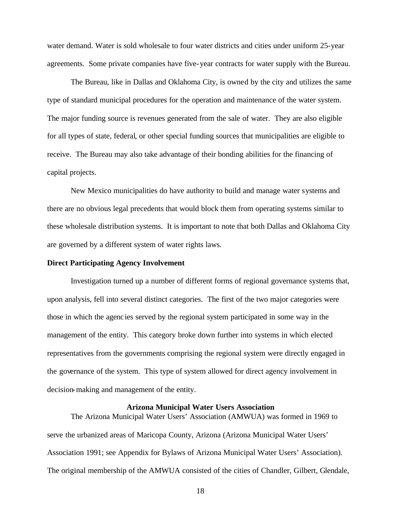water demand. Water is sold wholesale to four water districts and cities under uniform 25-year agreements. Some private companies have five-year contracts for water supply with the Bureau.

The Bureau, like in Dallas and Oklahoma City, is owned by the city and utilizes the same type of standard municipal procedures for the operation and maintenance of the water system. The major funding source is revenues generated from the sale of water. They are also eligible for all types of state, federal, or other special funding sources that municipalities are eligible to receive. The Bureau may also take advantage of their bonding abilities for the financing of capital projects.

New Mexico municipalities do have authority to build and manage water systems and there are no obvious legal precedents that would block them from operating systems similar to these wholesale distribution systems. It is important to note that both Dallas and Oklahoma City are governed by a different system of water rights laws.

### **Direct Participating Agency Involvement**

Investigation turned up a number of different forms of regional governance systems that, upon analysis, fell into several distinct categories. The first of the two major categories were those in which the agencies served by the regional system participated in some way in the management of the entity. This category broke down further into systems in which elected representatives from the governments comprising the regional system were directly engaged in the governance of the system. This type of system allowed for direct agency involvement in decision-making and management of the entity.

## **Arizona Municipal Water Users Association**

The Arizona Municipal Water Users' Association (AMWUA) was formed in 1969 to serve the urbanized areas of Maricopa County, Arizona (Arizona Municipal Water Users' Association 1991; see Appendix for Bylaws of Arizona Municipal Water Users' Association). The original membership of the AMWUA consisted of the cities of Chandler, Gilbert, Glendale,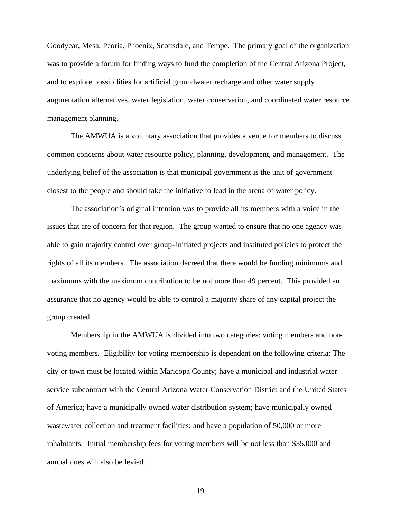Goodyear, Mesa, Peoria, Phoenix, Scottsdale, and Tempe. The primary goal of the organization was to provide a forum for finding ways to fund the completion of the Central Arizona Project, and to explore possibilities for artificial groundwater recharge and other water supply augmentation alternatives, water legislation, water conservation, and coordinated water resource management planning.

The AMWUA is a voluntary association that provides a venue for members to discuss common concerns about water resource policy, planning, development, and management. The underlying belief of the association is that municipal government is the unit of government closest to the people and should take the initiative to lead in the arena of water policy.

The association's original intention was to provide all its members with a voice in the issues that are of concern for that region. The group wanted to ensure that no one agency was able to gain majority control over group-initiated projects and instituted policies to protect the rights of all its members. The association decreed that there would be funding minimums and maximums with the maximum contribution to be not more than 49 percent. This provided an assurance that no agency would be able to control a majority share of any capital project the group created.

Membership in the AMWUA is divided into two categories: voting members and nonvoting members. Eligibility for voting membership is dependent on the following criteria: The city or town must be located within Maricopa County; have a municipal and industrial water service subcontract with the Central Arizona Water Conservation District and the United States of America; have a municipally owned water distribution system; have municipally owned wastewater collection and treatment facilities; and have a population of 50,000 or more inhabitants. Initial membership fees for voting members will be not less than \$35,000 and annual dues will also be levied.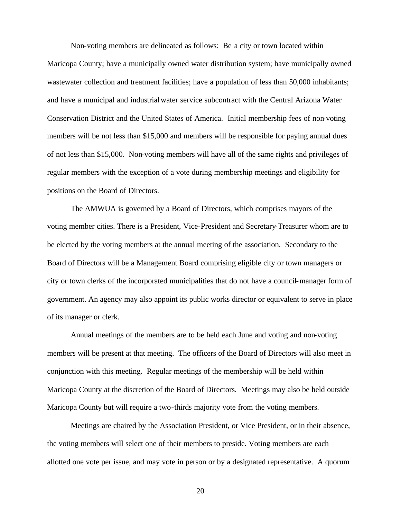Non-voting members are delineated as follows: Be a city or town located within Maricopa County; have a municipally owned water distribution system; have municipally owned wastewater collection and treatment facilities; have a population of less than 50,000 inhabitants; and have a municipal and industrial water service subcontract with the Central Arizona Water Conservation District and the United States of America. Initial membership fees of non-voting members will be not less than \$15,000 and members will be responsible for paying annual dues of not less than \$15,000. Non-voting members will have all of the same rights and privileges of regular members with the exception of a vote during membership meetings and eligibility for positions on the Board of Directors.

The AMWUA is governed by a Board of Directors, which comprises mayors of the voting member cities. There is a President, Vice-President and Secretary-Treasurer whom are to be elected by the voting members at the annual meeting of the association. Secondary to the Board of Directors will be a Management Board comprising eligible city or town managers or city or town clerks of the incorporated municipalities that do not have a council-manager form of government. An agency may also appoint its public works director or equivalent to serve in place of its manager or clerk.

Annual meetings of the members are to be held each June and voting and non-voting members will be present at that meeting. The officers of the Board of Directors will also meet in conjunction with this meeting. Regular meetings of the membership will be held within Maricopa County at the discretion of the Board of Directors. Meetings may also be held outside Maricopa County but will require a two-thirds majority vote from the voting members.

Meetings are chaired by the Association President, or Vice President, or in their absence, the voting members will select one of their members to preside. Voting members are each allotted one vote per issue, and may vote in person or by a designated representative. A quorum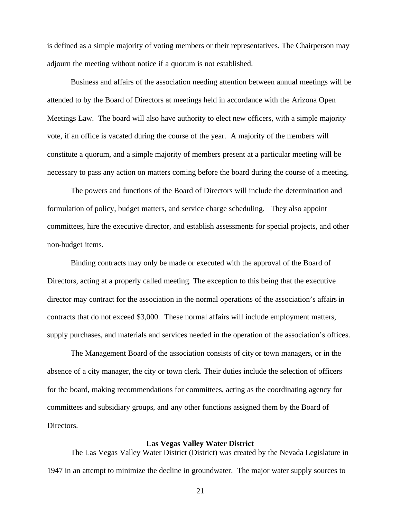is defined as a simple majority of voting members or their representatives. The Chairperson may adjourn the meeting without notice if a quorum is not established.

Business and affairs of the association needing attention between annual meetings will be attended to by the Board of Directors at meetings held in accordance with the Arizona Open Meetings Law. The board will also have authority to elect new officers, with a simple majority vote, if an office is vacated during the course of the year. A majority of the members will constitute a quorum, and a simple majority of members present at a particular meeting will be necessary to pass any action on matters coming before the board during the course of a meeting.

The powers and functions of the Board of Directors will include the determination and formulation of policy, budget matters, and service charge scheduling. They also appoint committees, hire the executive director, and establish assessments for special projects, and other non-budget items.

Binding contracts may only be made or executed with the approval of the Board of Directors, acting at a properly called meeting. The exception to this being that the executive director may contract for the association in the normal operations of the association's affairs in contracts that do not exceed \$3,000. These normal affairs will include employment matters, supply purchases, and materials and services needed in the operation of the association's offices.

The Management Board of the association consists of city or town managers, or in the absence of a city manager, the city or town clerk. Their duties include the selection of officers for the board, making recommendations for committees, acting as the coordinating agency for committees and subsidiary groups, and any other functions assigned them by the Board of Directors.

## **Las Vegas Valley Water District**

The Las Vegas Valley Water District (District) was created by the Nevada Legislature in 1947 in an attempt to minimize the decline in groundwater. The major water supply sources to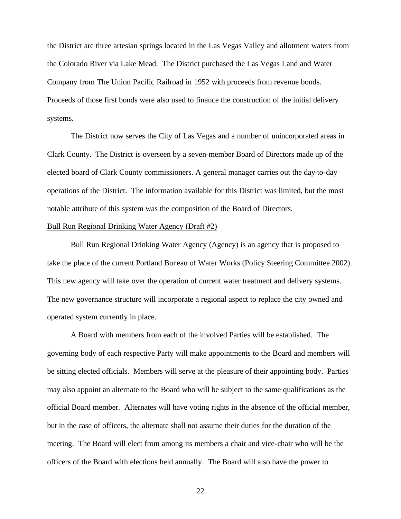the District are three artesian springs located in the Las Vegas Valley and allotment waters from the Colorado River via Lake Mead. The District purchased the Las Vegas Land and Water Company from The Union Pacific Railroad in 1952 with proceeds from revenue bonds. Proceeds of those first bonds were also used to finance the construction of the initial delivery systems.

The District now serves the City of Las Vegas and a number of unincorporated areas in Clark County. The District is overseen by a seven-member Board of Directors made up of the elected board of Clark County commissioners. A general manager carries out the day-to-day operations of the District. The information available for this District was limited, but the most notable attribute of this system was the composition of the Board of Directors.

### Bull Run Regional Drinking Water Agency (Draft #2)

Bull Run Regional Drinking Water Agency (Agency) is an agency that is proposed to take the place of the current Portland Bur eau of Water Works (Policy Steering Committee 2002). This new agency will take over the operation of current water treatment and delivery systems. The new governance structure will incorporate a regional aspect to replace the city owned and operated system currently in place.

A Board with members from each of the involved Parties will be established. The governing body of each respective Party will make appointments to the Board and members will be sitting elected officials. Members will serve at the pleasure of their appointing body. Parties may also appoint an alternate to the Board who will be subject to the same qualifications as the official Board member. Alternates will have voting rights in the absence of the official member, but in the case of officers, the alternate shall not assume their duties for the duration of the meeting. The Board will elect from among its members a chair and vice-chair who will be the officers of the Board with elections held annually. The Board will also have the power to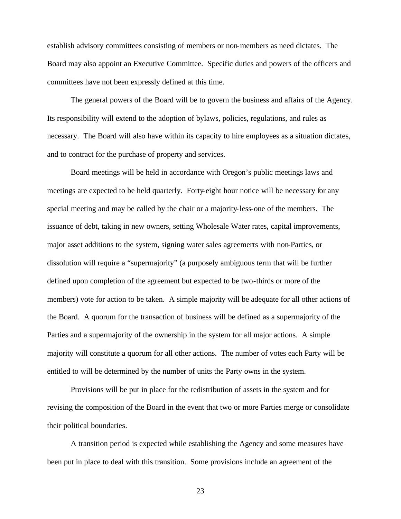establish advisory committees consisting of members or non-members as need dictates. The Board may also appoint an Executive Committee. Specific duties and powers of the officers and committees have not been expressly defined at this time.

The general powers of the Board will be to govern the business and affairs of the Agency. Its responsibility will extend to the adoption of bylaws, policies, regulations, and rules as necessary. The Board will also have within its capacity to hire employees as a situation dictates, and to contract for the purchase of property and services.

Board meetings will be held in accordance with Oregon's public meetings laws and meetings are expected to be held quarterly. Forty-eight hour notice will be necessary for any special meeting and may be called by the chair or a majority-less-one of the members. The issuance of debt, taking in new owners, setting Wholesale Water rates, capital improvements, major asset additions to the system, signing water sales agreements with non-Parties, or dissolution will require a "supermajority" (a purposely ambiguous term that will be further defined upon completion of the agreement but expected to be two-thirds or more of the members) vote for action to be taken. A simple majority will be adequate for all other actions of the Board. A quorum for the transaction of business will be defined as a supermajority of the Parties and a supermajority of the ownership in the system for all major actions. A simple majority will constitute a quorum for all other actions. The number of votes each Party will be entitled to will be determined by the number of units the Party owns in the system.

Provisions will be put in place for the redistribution of assets in the system and for revising the composition of the Board in the event that two or more Parties merge or consolidate their political boundaries.

A transition period is expected while establishing the Agency and some measures have been put in place to deal with this transition. Some provisions include an agreement of the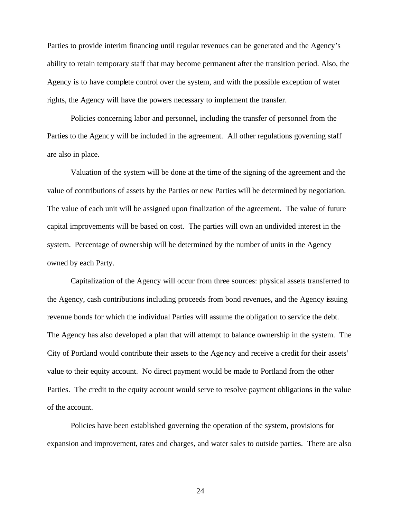Parties to provide interim financing until regular revenues can be generated and the Agency's ability to retain temporary staff that may become permanent after the transition period. Also, the Agency is to have complete control over the system, and with the possible exception of water rights, the Agency will have the powers necessary to implement the transfer.

Policies concerning labor and personnel, including the transfer of personnel from the Parties to the Agency will be included in the agreement. All other regulations governing staff are also in place.

Valuation of the system will be done at the time of the signing of the agreement and the value of contributions of assets by the Parties or new Parties will be determined by negotiation. The value of each unit will be assigned upon finalization of the agreement. The value of future capital improvements will be based on cost. The parties will own an undivided interest in the system. Percentage of ownership will be determined by the number of units in the Agency owned by each Party.

Capitalization of the Agency will occur from three sources: physical assets transferred to the Agency, cash contributions including proceeds from bond revenues, and the Agency issuing revenue bonds for which the individual Parties will assume the obligation to service the debt. The Agency has also developed a plan that will attempt to balance ownership in the system. The City of Portland would contribute their assets to the Agency and receive a credit for their assets' value to their equity account. No direct payment would be made to Portland from the other Parties. The credit to the equity account would serve to resolve payment obligations in the value of the account.

Policies have been established governing the operation of the system, provisions for expansion and improvement, rates and charges, and water sales to outside parties. There are also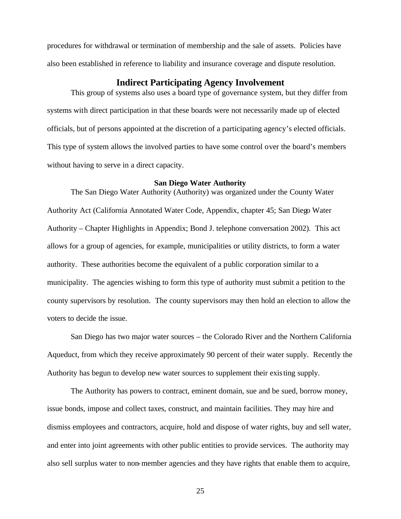procedures for withdrawal or termination of membership and the sale of assets. Policies have also been established in reference to liability and insurance coverage and dispute resolution.

## **Indirect Participating Agency Involvement**

This group of systems also uses a board type of governance system, but they differ from systems with direct participation in that these boards were not necessarily made up of elected officials, but of persons appointed at the discretion of a participating agency's elected officials. This type of system allows the involved parties to have some control over the board's members without having to serve in a direct capacity.

### **San Diego Water Authority**

The San Diego Water Authority (Authority) was organized under the County Water Authority Act (California Annotated Water Code, Appendix, chapter 45; San Diego Water Authority – Chapter Highlights in Appendix; Bond J. telephone conversation 2002). This act allows for a group of agencies, for example, municipalities or utility districts, to form a water authority. These authorities become the equivalent of a public corporation similar to a municipality. The agencies wishing to form this type of authority must submit a petition to the county supervisors by resolution. The county supervisors may then hold an election to allow the voters to decide the issue.

San Diego has two major water sources – the Colorado River and the Northern California Aqueduct, from which they receive approximately 90 percent of their water supply. Recently the Authority has begun to develop new water sources to supplement their existing supply.

The Authority has powers to contract, eminent domain, sue and be sued, borrow money, issue bonds, impose and collect taxes, construct, and maintain facilities. They may hire and dismiss employees and contractors, acquire, hold and dispose of water rights, buy and sell water, and enter into joint agreements with other public entities to provide services. The authority may also sell surplus water to non-member agencies and they have rights that enable them to acquire,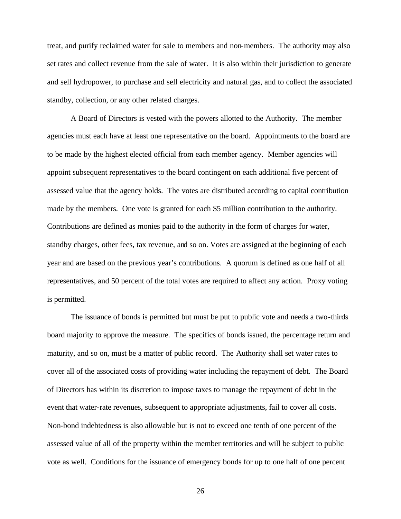treat, and purify reclaimed water for sale to members and non-members. The authority may also set rates and collect revenue from the sale of water. It is also within their jurisdiction to generate and sell hydropower, to purchase and sell electricity and natural gas, and to collect the associated standby, collection, or any other related charges.

A Board of Directors is vested with the powers allotted to the Authority. The member agencies must each have at least one representative on the board. Appointments to the board are to be made by the highest elected official from each member agency. Member agencies will appoint subsequent representatives to the board contingent on each additional five percent of assessed value that the agency holds. The votes are distributed according to capital contribution made by the members. One vote is granted for each \$5 million contribution to the authority. Contributions are defined as monies paid to the authority in the form of charges for water, standby charges, other fees, tax revenue, and so on. Votes are assigned at the beginning of each year and are based on the previous year's contributions. A quorum is defined as one half of all representatives, and 50 percent of the total votes are required to affect any action. Proxy voting is permitted.

The issuance of bonds is permitted but must be put to public vote and needs a two-thirds board majority to approve the measure. The specifics of bonds issued, the percentage return and maturity, and so on, must be a matter of public record. The Authority shall set water rates to cover all of the associated costs of providing water including the repayment of debt. The Board of Directors has within its discretion to impose taxes to manage the repayment of debt in the event that water-rate revenues, subsequent to appropriate adjustments, fail to cover all costs. Non-bond indebtedness is also allowable but is not to exceed one tenth of one percent of the assessed value of all of the property within the member territories and will be subject to public vote as well. Conditions for the issuance of emergency bonds for up to one half of one percent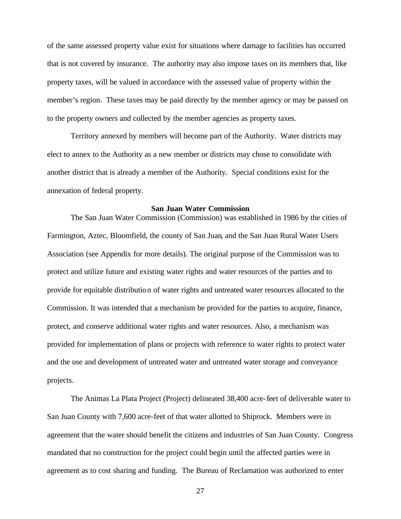of the same assessed property value exist for situations where damage to facilities has occurred that is not covered by insurance. The authority may also impose taxes on its members that, like property taxes, will be valued in accordance with the assessed value of property within the member's region. These taxes may be paid directly by the member agency or may be passed on to the property owners and collected by the member agencies as property taxes.

Territory annexed by members will become part of the Authority. Water districts may elect to annex to the Authority as a new member or districts may chose to consolidate with another district that is already a member of the Authority. Special conditions exist for the annexation of federal property.

#### **San Juan Water Commission**

The San Juan Water Commission (Commission) was established in 1986 by the cities of Farmington, Aztec, Bloomfield, the county of San Juan, and the San Juan Rural Water Users Association (see Appendix for more details). The original purpose of the Commission was to protect and utilize future and existing water rights and water resources of the parties and to provide for equitable distribution of water rights and untreated water resources allocated to the Commission. It was intended that a mechanism be provided for the parties to acquire, finance, protect, and conserve additional water rights and water resources. Also, a mechanism was provided for implementation of plans or projects with reference to water rights to protect water and the use and development of untreated water and untreated water storage and conveyance projects.

The Animas La Plata Project (Project) delineated 38,400 acre-feet of deliverable water to San Juan County with 7,600 acre-feet of that water allotted to Shiprock. Members were in agreement that the water should benefit the citizens and industries of San Juan County. Congress mandated that no construction for the project could begin until the affected parties were in agreement as to cost sharing and funding. The Bureau of Reclamation was authorized to enter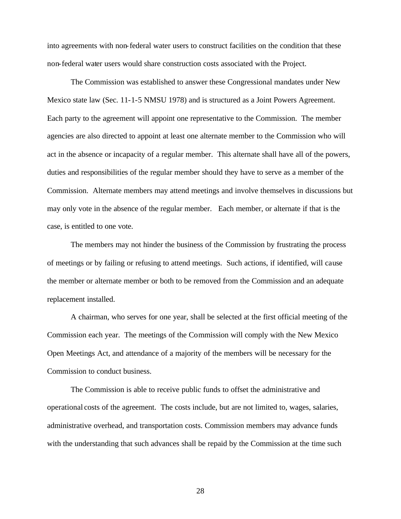into agreements with non-federal water users to construct facilities on the condition that these non-federal water users would share construction costs associated with the Project.

The Commission was established to answer these Congressional mandates under New Mexico state law (Sec. 11-1-5 NMSU 1978) and is structured as a Joint Powers Agreement. Each party to the agreement will appoint one representative to the Commission. The member agencies are also directed to appoint at least one alternate member to the Commission who will act in the absence or incapacity of a regular member. This alternate shall have all of the powers, duties and responsibilities of the regular member should they have to serve as a member of the Commission. Alternate members may attend meetings and involve themselves in discussions but may only vote in the absence of the regular member. Each member, or alternate if that is the case, is entitled to one vote.

The members may not hinder the business of the Commission by frustrating the process of meetings or by failing or refusing to attend meetings. Such actions, if identified, will cause the member or alternate member or both to be removed from the Commission and an adequate replacement installed.

A chairman, who serves for one year, shall be selected at the first official meeting of the Commission each year. The meetings of the Commission will comply with the New Mexico Open Meetings Act, and attendance of a majority of the members will be necessary for the Commission to conduct business.

The Commission is able to receive public funds to offset the administrative and operational costs of the agreement. The costs include, but are not limited to, wages, salaries, administrative overhead, and transportation costs. Commission members may advance funds with the understanding that such advances shall be repaid by the Commission at the time such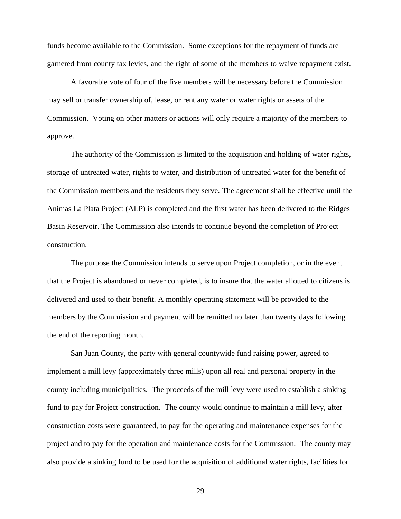funds become available to the Commission. Some exceptions for the repayment of funds are garnered from county tax levies, and the right of some of the members to waive repayment exist.

A favorable vote of four of the five members will be necessary before the Commission may sell or transfer ownership of, lease, or rent any water or water rights or assets of the Commission. Voting on other matters or actions will only require a majority of the members to approve.

The authority of the Commission is limited to the acquisition and holding of water rights, storage of untreated water, rights to water, and distribution of untreated water for the benefit of the Commission members and the residents they serve. The agreement shall be effective until the Animas La Plata Project (ALP) is completed and the first water has been delivered to the Ridges Basin Reservoir. The Commission also intends to continue beyond the completion of Project construction.

The purpose the Commission intends to serve upon Project completion, or in the event that the Project is abandoned or never completed, is to insure that the water allotted to citizens is delivered and used to their benefit. A monthly operating statement will be provided to the members by the Commission and payment will be remitted no later than twenty days following the end of the reporting month.

San Juan County, the party with general countywide fund raising power, agreed to implement a mill levy (approximately three mills) upon all real and personal property in the county including municipalities. The proceeds of the mill levy were used to establish a sinking fund to pay for Project construction. The county would continue to maintain a mill levy, after construction costs were guaranteed, to pay for the operating and maintenance expenses for the project and to pay for the operation and maintenance costs for the Commission. The county may also provide a sinking fund to be used for the acquisition of additional water rights, facilities for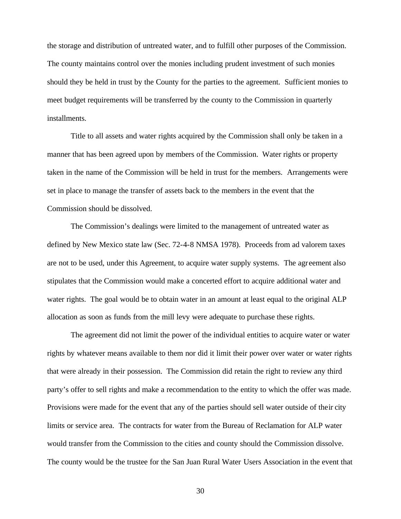the storage and distribution of untreated water, and to fulfill other purposes of the Commission. The county maintains control over the monies including prudent investment of such monies should they be held in trust by the County for the parties to the agreement. Sufficient monies to meet budget requirements will be transferred by the county to the Commission in quarterly installments.

Title to all assets and water rights acquired by the Commission shall only be taken in a manner that has been agreed upon by members of the Commission. Water rights or property taken in the name of the Commission will be held in trust for the members. Arrangements were set in place to manage the transfer of assets back to the members in the event that the Commission should be dissolved.

The Commission's dealings were limited to the management of untreated water as defined by New Mexico state law (Sec. 72-4-8 NMSA 1978). Proceeds from ad valorem taxes are not to be used, under this Agreement, to acquire water supply systems. The agr eement also stipulates that the Commission would make a concerted effort to acquire additional water and water rights. The goal would be to obtain water in an amount at least equal to the original ALP allocation as soon as funds from the mill levy were adequate to purchase these rights.

The agreement did not limit the power of the individual entities to acquire water or water rights by whatever means available to them nor did it limit their power over water or water rights that were already in their possession. The Commission did retain the right to review any third party's offer to sell rights and make a recommendation to the entity to which the offer was made. Provisions were made for the event that any of the parties should sell water outside of their city limits or service area. The contracts for water from the Bureau of Reclamation for ALP water would transfer from the Commission to the cities and county should the Commission dissolve. The county would be the trustee for the San Juan Rural Water Users Association in the event that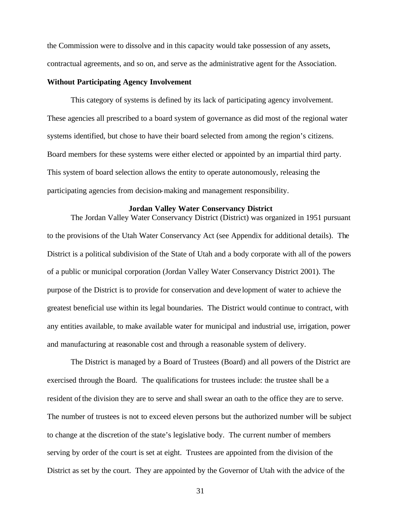the Commission were to dissolve and in this capacity would take possession of any assets, contractual agreements, and so on, and serve as the administrative agent for the Association.

### **Without Participating Agency Involvement**

This category of systems is defined by its lack of participating agency involvement. These agencies all prescribed to a board system of governance as did most of the regional water systems identified, but chose to have their board selected from among the region's citizens. Board members for these systems were either elected or appointed by an impartial third party. This system of board selection allows the entity to operate autonomously, releasing the participating agencies from decision-making and management responsibility.

### **Jordan Valley Water Conservancy District**

The Jordan Valley Water Conservancy District (District) was organized in 1951 pursuant to the provisions of the Utah Water Conservancy Act (see Appendix for additional details). The District is a political subdivision of the State of Utah and a body corporate with all of the powers of a public or municipal corporation (Jordan Valley Water Conservancy District 2001). The purpose of the District is to provide for conservation and deve lopment of water to achieve the greatest beneficial use within its legal boundaries. The District would continue to contract, with any entities available, to make available water for municipal and industrial use, irrigation, power and manufacturing at reasonable cost and through a reasonable system of delivery.

The District is managed by a Board of Trustees (Board) and all powers of the District are exercised through the Board. The qualifications for trustees include: the trustee shall be a resident of the division they are to serve and shall swear an oath to the office they are to serve. The number of trustees is not to exceed eleven persons but the authorized number will be subject to change at the discretion of the state's legislative body. The current number of members serving by order of the court is set at eight. Trustees are appointed from the division of the District as set by the court. They are appointed by the Governor of Utah with the advice of the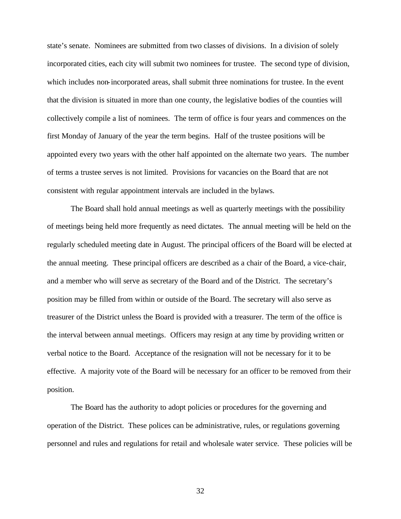state's senate. Nominees are submitted from two classes of divisions. In a division of solely incorporated cities, each city will submit two nominees for trustee. The second type of division, which includes non-incorporated areas, shall submit three nominations for trustee. In the event that the division is situated in more than one county, the legislative bodies of the counties will collectively compile a list of nominees. The term of office is four years and commences on the first Monday of January of the year the term begins. Half of the trustee positions will be appointed every two years with the other half appointed on the alternate two years. The number of terms a trustee serves is not limited. Provisions for vacancies on the Board that are not consistent with regular appointment intervals are included in the bylaws.

The Board shall hold annual meetings as well as quarterly meetings with the possibility of meetings being held more frequently as need dictates. The annual meeting will be held on the regularly scheduled meeting date in August. The principal officers of the Board will be elected at the annual meeting. These principal officers are described as a chair of the Board, a vice-chair, and a member who will serve as secretary of the Board and of the District. The secretary's position may be filled from within or outside of the Board. The secretary will also serve as treasurer of the District unless the Board is provided with a treasurer. The term of the office is the interval between annual meetings. Officers may resign at any time by providing written or verbal notice to the Board. Acceptance of the resignation will not be necessary for it to be effective. A majority vote of the Board will be necessary for an officer to be removed from their position.

The Board has the authority to adopt policies or procedures for the governing and operation of the District. These polices can be administrative, rules, or regulations governing personnel and rules and regulations for retail and wholesale water service. These policies will be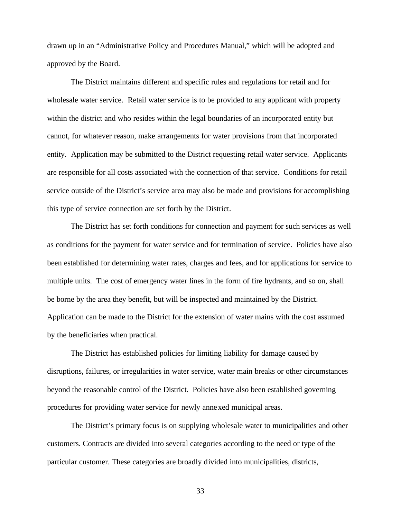drawn up in an "Administrative Policy and Procedures Manual," which will be adopted and approved by the Board.

The District maintains different and specific rules and regulations for retail and for wholesale water service. Retail water service is to be provided to any applicant with property within the district and who resides within the legal boundaries of an incorporated entity but cannot, for whatever reason, make arrangements for water provisions from that incorporated entity. Application may be submitted to the District requesting retail water service. Applicants are responsible for all costs associated with the connection of that service. Conditions for retail service outside of the District's service area may also be made and provisions for accomplishing this type of service connection are set forth by the District.

The District has set forth conditions for connection and payment for such services as well as conditions for the payment for water service and for termination of service. Policies have also been established for determining water rates, charges and fees, and for applications for service to multiple units. The cost of emergency water lines in the form of fire hydrants, and so on, shall be borne by the area they benefit, but will be inspected and maintained by the District. Application can be made to the District for the extension of water mains with the cost assumed by the beneficiaries when practical.

The District has established policies for limiting liability for damage caused by disruptions, failures, or irregularities in water service, water main breaks or other circumstances beyond the reasonable control of the District. Policies have also been established governing procedures for providing water service for newly annexed municipal areas.

The District's primary focus is on supplying wholesale water to municipalities and other customers. Contracts are divided into several categories according to the need or type of the particular customer. These categories are broadly divided into municipalities, districts,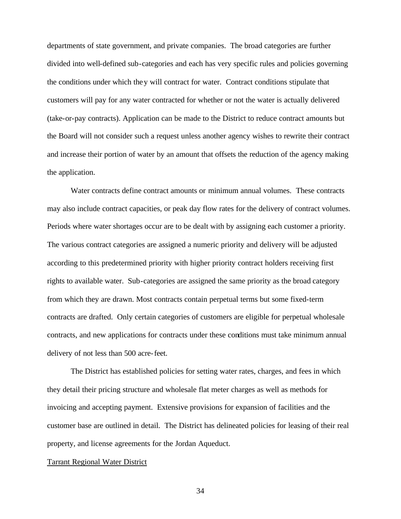departments of state government, and private companies. The broad categories are further divided into well-defined sub-categories and each has very specific rules and policies governing the conditions under which they will contract for water. Contract conditions stipulate that customers will pay for any water contracted for whether or not the water is actually delivered (take-or-pay contracts). Application can be made to the District to reduce contract amounts but the Board will not consider such a request unless another agency wishes to rewrite their contract and increase their portion of water by an amount that offsets the reduction of the agency making the application.

Water contracts define contract amounts or minimum annual volumes. These contracts may also include contract capacities, or peak day flow rates for the delivery of contract volumes. Periods where water shortages occur are to be dealt with by assigning each customer a priority. The various contract categories are assigned a numeric priority and delivery will be adjusted according to this predetermined priority with higher priority contract holders receiving first rights to available water. Sub-categories are assigned the same priority as the broad category from which they are drawn. Most contracts contain perpetual terms but some fixed-term contracts are drafted. Only certain categories of customers are eligible for perpetual wholesale contracts, and new applications for contracts under these conditions must take minimum annual delivery of not less than 500 acre-feet.

The District has established policies for setting water rates, charges, and fees in which they detail their pricing structure and wholesale flat meter charges as well as methods for invoicing and accepting payment. Extensive provisions for expansion of facilities and the customer base are outlined in detail. The District has delineated policies for leasing of their real property, and license agreements for the Jordan Aqueduct.

## Tarrant Regional Water District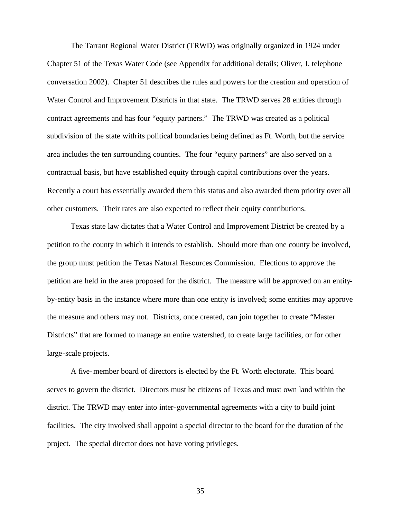The Tarrant Regional Water District (TRWD) was originally organized in 1924 under Chapter 51 of the Texas Water Code (see Appendix for additional details; Oliver, J. telephone conversation 2002). Chapter 51 describes the rules and powers for the creation and operation of Water Control and Improvement Districts in that state. The TRWD serves 28 entities through contract agreements and has four "equity partners." The TRWD was created as a political subdivision of the state with its political boundaries being defined as Ft. Worth, but the service area includes the ten surrounding counties. The four "equity partners" are also served on a contractual basis, but have established equity through capital contributions over the years. Recently a court has essentially awarded them this status and also awarded them priority over all other customers. Their rates are also expected to reflect their equity contributions.

Texas state law dictates that a Water Control and Improvement District be created by a petition to the county in which it intends to establish. Should more than one county be involved, the group must petition the Texas Natural Resources Commission. Elections to approve the petition are held in the area proposed for the district. The measure will be approved on an entityby-entity basis in the instance where more than one entity is involved; some entities may approve the measure and others may not. Districts, once created, can join together to create "Master Districts" that are formed to manage an entire watershed, to create large facilities, or for other large-scale projects.

A five-member board of directors is elected by the Ft. Worth electorate. This board serves to govern the district. Directors must be citizens of Texas and must own land within the district. The TRWD may enter into inter-governmental agreements with a city to build joint facilities. The city involved shall appoint a special director to the board for the duration of the project. The special director does not have voting privileges.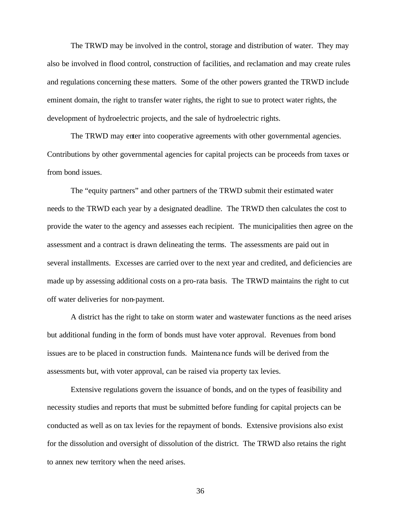The TRWD may be involved in the control, storage and distribution of water. They may also be involved in flood control, construction of facilities, and reclamation and may create rules and regulations concerning these matters. Some of the other powers granted the TRWD include eminent domain, the right to transfer water rights, the right to sue to protect water rights, the development of hydroelectric projects, and the sale of hydroelectric rights.

The TRWD may enter into cooperative agreements with other governmental agencies. Contributions by other governmental agencies for capital projects can be proceeds from taxes or from bond issues.

The "equity partners" and other partners of the TRWD submit their estimated water needs to the TRWD each year by a designated deadline. The TRWD then calculates the cost to provide the water to the agency and assesses each recipient. The municipalities then agree on the assessment and a contract is drawn delineating the terms. The assessments are paid out in several installments. Excesses are carried over to the next year and credited, and deficiencies are made up by assessing additional costs on a pro-rata basis. The TRWD maintains the right to cut off water deliveries for non-payment.

A district has the right to take on storm water and wastewater functions as the need arises but additional funding in the form of bonds must have voter approval. Revenues from bond issues are to be placed in construction funds. Maintenance funds will be derived from the assessments but, with voter approval, can be raised via property tax levies.

Extensive regulations govern the issuance of bonds, and on the types of feasibility and necessity studies and reports that must be submitted before funding for capital projects can be conducted as well as on tax levies for the repayment of bonds. Extensive provisions also exist for the dissolution and oversight of dissolution of the district. The TRWD also retains the right to annex new territory when the need arises.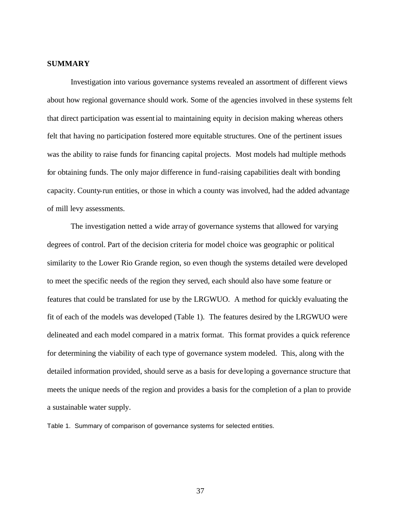### **SUMMARY**

Investigation into various governance systems revealed an assortment of different views about how regional governance should work. Some of the agencies involved in these systems felt that direct participation was essential to maintaining equity in decision making whereas others felt that having no participation fostered more equitable structures. One of the pertinent issues was the ability to raise funds for financing capital projects. Most models had multiple methods for obtaining funds. The only major difference in fund-raising capabilities dealt with bonding capacity. County-run entities, or those in which a county was involved, had the added advantage of mill levy assessments.

The investigation netted a wide array of governance systems that allowed for varying degrees of control. Part of the decision criteria for model choice was geographic or political similarity to the Lower Rio Grande region, so even though the systems detailed were developed to meet the specific needs of the region they served, each should also have some feature or features that could be translated for use by the LRGWUO. A method for quickly evaluating the fit of each of the models was developed (Table 1). The features desired by the LRGWUO were delineated and each model compared in a matrix format. This format provides a quick reference for determining the viability of each type of governance system modeled. This, along with the detailed information provided, should serve as a basis for deve loping a governance structure that meets the unique needs of the region and provides a basis for the completion of a plan to provide a sustainable water supply.

Table 1. Summary of comparison of governance systems for selected entities.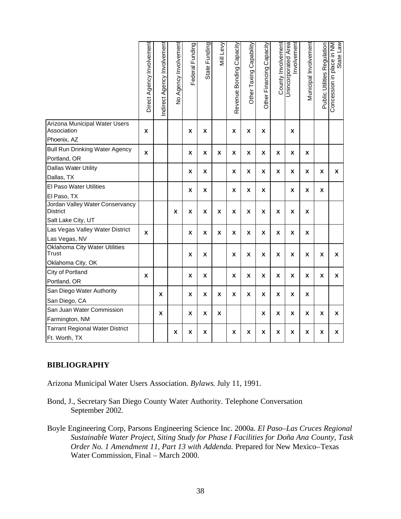|                                                                           | Direct Agency Involvement | ndirect Agency Involvement | No Agency Involvement | Federal Funding | State Funding | Mill Levy | Bonding Capacity<br>Revenue | Other Taxing Capability | Other Financing Capacity | County Involvement | Unincorporated Area<br>Involvement | Municipal Involvement | <b>Public Utilities Regulation</b> | weŋ əpp.<br>MN u! əɔɐld u! uoṛssəɔuoつ |
|---------------------------------------------------------------------------|---------------------------|----------------------------|-----------------------|-----------------|---------------|-----------|-----------------------------|-------------------------|--------------------------|--------------------|------------------------------------|-----------------------|------------------------------------|---------------------------------------|
| Arizona Municipal Water Users<br>Association<br>Phoenix, AZ               | X                         |                            |                       | X               | X             |           | x                           | X                       | X                        |                    | X                                  |                       |                                    |                                       |
| <b>Bull Run Drinking Water Agency</b><br>Portland, OR                     | X                         |                            |                       | X               | X             | X         | X                           | X                       | X                        | X                  | X                                  | X                     |                                    |                                       |
| Dallas Water Utility<br>Dallas, TX                                        |                           |                            |                       | X               | X             |           | Χ                           | Χ                       | X                        | X                  | Χ                                  | X                     | Χ                                  | X                                     |
| El Paso Water Utilities                                                   |                           |                            |                       |                 |               |           |                             |                         |                          |                    |                                    |                       |                                    |                                       |
| El Paso, TX                                                               |                           |                            |                       | X               | X             |           | X                           | X                       | X                        |                    | X                                  | X                     | X                                  |                                       |
| Jordan Valley Water Conservancy<br><b>District</b>                        |                           |                            | X                     | X               | X             | X         | X                           | X                       | X                        | X                  | X                                  | X                     |                                    |                                       |
| Salt Lake City, UT                                                        |                           |                            |                       |                 |               |           |                             |                         |                          |                    |                                    |                       |                                    |                                       |
| Las Vegas Valley Water District<br>Las Vegas, NV                          | X                         |                            |                       | X               | X             | X         | X                           | X                       | X                        | X                  | X                                  | X                     |                                    |                                       |
| <b>Oklahoma City Water Utilities</b><br><b>Trust</b><br>Oklahoma City, OK |                           |                            |                       | X               | X             |           | X                           | X                       | X                        | X                  | X                                  | X                     | X                                  | X                                     |
| City of Portland                                                          |                           |                            |                       |                 |               |           |                             |                         |                          |                    |                                    |                       |                                    |                                       |
| Portland, OR                                                              | X                         |                            |                       | X               | X             |           | X                           | X                       | X                        | X                  | X                                  | X                     | X                                  | X                                     |
| San Diego Water Authority                                                 |                           | X                          |                       | X               | X             | X         | X                           | X                       | X                        | X                  | X                                  | X                     |                                    |                                       |
| San Diego, CA                                                             |                           |                            |                       |                 |               |           |                             |                         |                          |                    |                                    |                       |                                    |                                       |
| San Juan Water Commission                                                 |                           | X                          |                       | X               | X             | X         |                             |                         | X                        | X                  | X                                  | X                     | X                                  | X                                     |
| Farmington, NM                                                            |                           |                            |                       |                 |               |           |                             |                         |                          |                    |                                    |                       |                                    |                                       |
| <b>Tarrant Regional Water District</b><br>Ft. Worth, TX                   |                           |                            | Χ                     | Χ               | Χ             |           | X                           | Χ                       | X                        | X                  | X                                  | X                     | Χ                                  | X                                     |

# **BIBLIOGRAPHY**

Arizona Municipal Water Users Association. *Bylaws*. July 11, 1991.

- Bond, J., Secretary San Diego County Water Authority. Telephone Conversation September 2002.
- Boyle Engineering Corp, Parsons Engineering Science Inc. 2000a. *El Paso–Las Cruces Regional Sustainable Water Project, Siting Study for Phase I Facilities for Doña Ana County, Task Order No. 1 Amendment 11, Part 13 with Addenda.* Prepared for New Mexico–Texas Water Commission, Final – March 2000.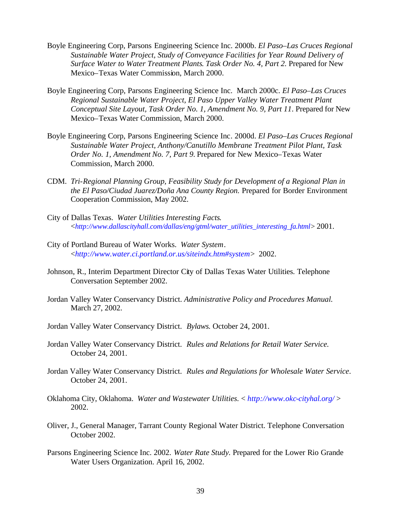- Boyle Engineering Corp, Parsons Engineering Science Inc. 2000b. *El Paso–Las Cruces Regional Sustainable Water Project, Study of Conveyance Facilities for Year Round Delivery of Surface Water to Water Treatment Plants*. *Task Order No. 4, Part 2.* Prepared for New Mexico–Texas Water Commission, March 2000.
- Boyle Engineering Corp, Parsons Engineering Science Inc. March 2000c. *El Paso*–*Las Cruces Regional Sustainable Water Project, El Paso Upper Valley Water Treatment Plant Conceptual Site Layout, Task Order No. 1, Amendment No. 9, Part 11*. Prepared for New Mexico–Texas Water Commission, March 2000.
- Boyle Engineering Corp, Parsons Engineering Science Inc*.* 2000d. *El Paso–Las Cruces Regional Sustainable Water Project, Anthony/Canutillo Membrane Treatment Pilot Plant, Task Order No. 1, Amendment No. 7, Part 9.* Prepared for New Mexico–Texas Water Commission, March 2000.
- CDM. *Tri-Regional Planning Group, Feasibility Study for Development of a Regional Plan in the El Paso/Ciudad Juarez/Doña Ana County Region.* Prepared for Border Environment Cooperation Commission, May 2002.
- City of Dallas Texas. *Water Utilities Interesting Facts*. <*http://www.dallascityhall.com/dallas/eng/gtml/water\_utilities\_interesting\_fa.html*> 2001.
- City of Portland Bureau of Water Works. *Water System*. <*http://www.water.ci.portland.or.us/siteindx.htm#system*> 2002.
- Johnson, R., Interim Department Director City of Dallas Texas Water Utilities. Telephone Conversation September 2002.
- Jordan Valley Water Conservancy District. *Administrative Policy and Procedures Manual.* March 27, 2002.
- Jordan Valley Water Conservancy District. *Bylaws.* October 24, 2001.
- Jordan Valley Water Conservancy District. *Rules and Relations for Retail Water Service.* October 24, 2001.
- Jordan Valley Water Conservancy District. *Rules and Regulations for Wholesale Water Service*. October 24, 2001.
- Oklahoma City, Oklahoma. *Water and Wastewater Utilities.* < *http://www.okc-cityhal.org/* > 2002.
- Oliver, J., General Manager, Tarrant County Regional Water District. Telephone Conversation October 2002.
- Parsons Engineering Science Inc. 2002. *Water Rate Study.* Prepared for the Lower Rio Grande Water Users Organization. April 16, 2002.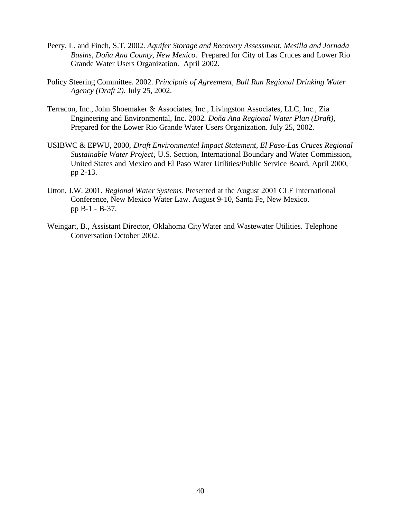- Peery, L. and Finch, S.T. 2002. *Aquifer Storage and Recovery Assessment, Mesilla and Jornada Basins, Doña Ana County, New Mexico*. Prepared for City of Las Cruces and Lower Rio Grande Water Users Organization. April 2002.
- Policy Steering Committee. 2002. *Principals of Agreement, Bull Run Regional Drinking Water Agency (Draft 2).* July 25, 2002.
- Terracon, Inc., John Shoemaker & Associates, Inc., Livingston Associates, LLC, Inc., Zia Engineering and Environmental, Inc*.* 2002*. Doña Ana Regional Water Plan (Draft),* Prepared for the Lower Rio Grande Water Users Organization. July 25, 2002.
- USIBWC & EPWU, 2000, *Draft Environmental Impact Statement, El Paso-Las Cruces Regional Sustainable Water Project*, U.S. Section, International Boundary and Water Commission, United States and Mexico and El Paso Water Utilities/Public Service Board, April 2000, pp 2-13.
- Utton, J.W. 2001. *Regional Water Systems*. Presented at the August 2001 CLE International Conference, New Mexico Water Law. August 9-10, Santa Fe, New Mexico. pp B-1 - B-37.
- Weingart, B., Assistant Director, Oklahoma CityWater and Wastewater Utilities. Telephone Conversation October 2002.